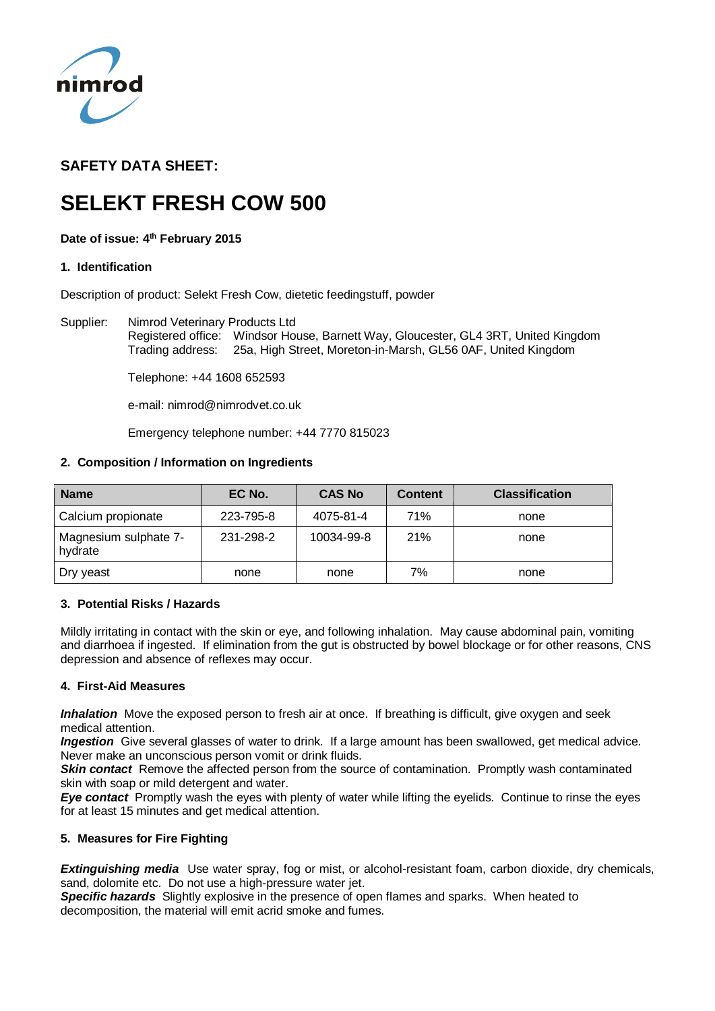

# **SAFETY DATA SHEET:**

# **SELEKT FRESH COW 500**

# **Date of issue: 4 th February 2015**

# **1. Identification**

Description of product: Selekt Fresh Cow, dietetic feedingstuff, powder

Supplier: Nimrod Veterinary Products Ltd Registered office: Windsor House, Barnett Way, Gloucester, GL4 3RT, United Kingdom Trading address: 25a, High Street, Moreton-in-Marsh, GL56 0AF, United Kingdom

Telephone: +44 1608 652593

e-mail: nimrod@nimrodvet.co.uk

Emergency telephone number: +44 7770 815023

# **2. Composition / Information on Ingredients**

| <b>Name</b>                      | EC No.    | <b>CAS No</b> | <b>Content</b> | <b>Classification</b> |
|----------------------------------|-----------|---------------|----------------|-----------------------|
| Calcium propionate               | 223-795-8 | 4075-81-4     | 71%            | none                  |
| Magnesium sulphate 7-<br>hydrate | 231-298-2 | 10034-99-8    | <b>21%</b>     | none                  |
| Dry yeast                        | none      | none          | 7%             | none                  |

# **3. Potential Risks / Hazards**

Mildly irritating in contact with the skin or eye, and following inhalation. May cause abdominal pain, vomiting and diarrhoea if ingested. If elimination from the gut is obstructed by bowel blockage or for other reasons, CNS depression and absence of reflexes may occur.

# **4. First-Aid Measures**

*Inhalation* Move the exposed person to fresh air at once. If breathing is difficult, give oxygen and seek medical attention.

*Ingestion* Give several glasses of water to drink. If a large amount has been swallowed, get medical advice. Never make an unconscious person vomit or drink fluids.

**Skin contact** Remove the affected person from the source of contamination. Promptly wash contaminated skin with soap or mild detergent and water.

*Eye contact* Promptly wash the eyes with plenty of water while lifting the eyelids. Continue to rinse the eyes for at least 15 minutes and get medical attention.

# **5. Measures for Fire Fighting**

*Extinguishing media* Use water spray, fog or mist, or alcohol-resistant foam, carbon dioxide, dry chemicals, sand, dolomite etc. Do not use a high-pressure water jet.

*Specific hazards* Slightly explosive in the presence of open flames and sparks. When heated to decomposition, the material will emit acrid smoke and fumes.